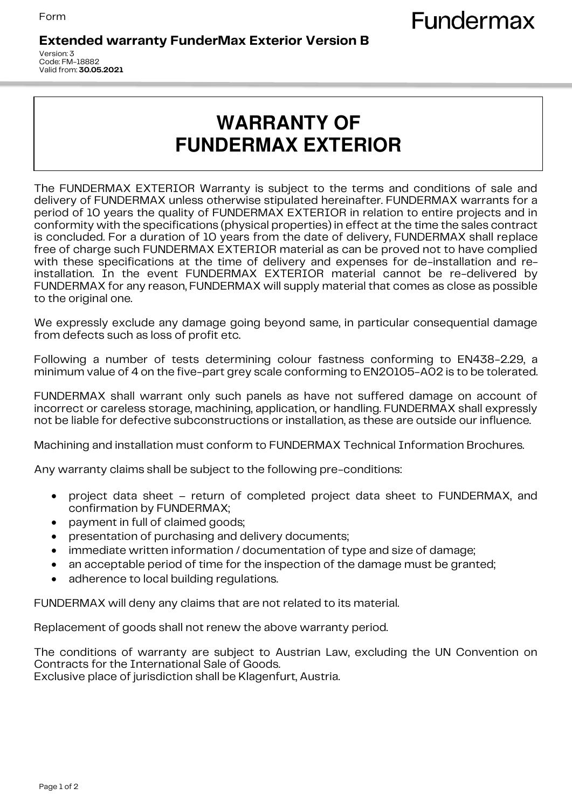## **Extended warranty FunderMax Exterior Version B**

Version: 3 Code: FM-18882 Valid from: **30.05.2021**

## **WARRANTY OF FUNDERMAX EXTERIOR**

The FUNDERMAX EXTERIOR Warranty is subject to the terms and conditions of sale and delivery of FUNDERMAX unless otherwise stipulated hereinafter. FUNDERMAX warrants for a period of 10 years the quality of FUNDERMAX EXTERIOR in relation to entire projects and in conformity with the specifications (physical properties) in effect at the time the sales contract is concluded. For a duration of 10 years from the date of delivery, FUNDERMAX shall replace free of charge such FUNDERMAX EXTERIOR material as can be proved not to have complied with these specifications at the time of delivery and expenses for de-installation and reinstallation. In the event FUNDERMAX EXTERIOR material cannot be re-delivered by FUNDERMAX for any reason, FUNDERMAX will supply material that comes as close as possible to the original one.

We expressly exclude any damage going beyond same, in particular consequential damage from defects such as loss of profit etc.

Following a number of tests determining colour fastness conforming to EN438-2.29, a minimum value of 4 on the five-part grey scale conforming to EN20105-A02 is to be tolerated.

FUNDERMAX shall warrant only such panels as have not suffered damage on account of incorrect or careless storage, machining, application, or handling. FUNDERMAX shall expressly not be liable for defective subconstructions or installation, as these are outside our influence.

Machining and installation must conform to FUNDERMAX Technical Information Brochures.

Any warranty claims shall be subject to the following pre-conditions:

- project data sheet return of completed project data sheet to FUNDERMAX, and confirmation by FUNDERMAX;
- payment in full of claimed goods;
- presentation of purchasing and delivery documents;
- immediate written information / documentation of type and size of damage;
- an acceptable period of time for the inspection of the damage must be granted;
- adherence to local building regulations.

FUNDERMAX will deny any claims that are not related to its material.

Replacement of goods shall not renew the above warranty period.

The conditions of warranty are subject to Austrian Law, excluding the UN Convention on Contracts for the International Sale of Goods. Exclusive place of jurisdiction shall be Klagenfurt, Austria.